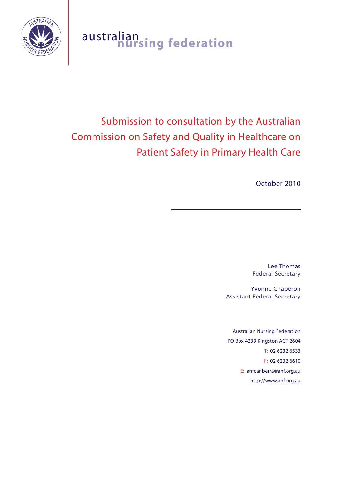

# australian **nursing federation**

# Submission to consultation by the Australian Commission on Safety and Quality in Healthcare on Patient Safety in Primary Health Care

October 2010

Lee Thomas Federal Secretary

Yvonne Chaperon Assistant Federal Secretary

Australian Nursing Federation PO Box 4239 Kingston ACT 2604 T: 02 6232 6533 F: 02 6232 6610 E: anfcanberra@anf.org.au http://www.anf.org.au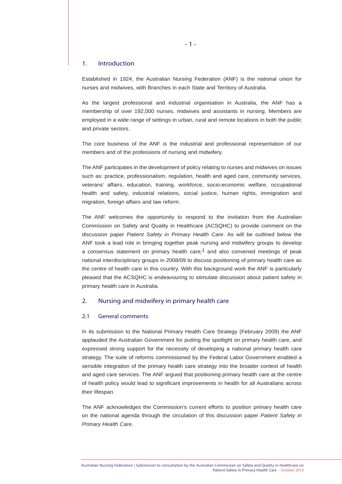## 1. Introduction

Established in 1924, the Australian Nursing Federation (ANF) is the national union for nurses and midwives, with Branches in each State and Territory of Australia.

As the largest professional and industrial organisation in Australia, the ANF has a membership of over 192,000 nurses, midwives and assistants in nursing. Members are employed in a wide range of settings in urban, rural and remote locations in both the public and private sectors.

The core business of the ANF is the industrial and professional representation of our members and of the professions of nursing and midwifery.

The ANF participates in the development of policy relating to nurses and midwives on issues such as: practice, professionalism, regulation, health and aged care, community services, veterans' affairs, education, training, workforce, socio-economic welfare, occupational health and safety, industrial relations, social justice, human rights, immigration and migration, foreign affairs and law reform.

The ANF welcomes the opportunity to respond to the invitation from the Australian Commission on Safety and Quality in Healthcare (ACSQHC) to provide comment on the discussion paper *Patient Safety in Primary Health Care*. As will be outlined below the ANF took a lead role in bringing together peak nursing and midwifery groups to develop a consensus statement on primary health care;<sup>1</sup> and also convened meetings of peak national interdisciplinary groups in 2008/09 to discuss positioning of primary health care as the centre of health care in this country. With this background work the ANF is particularly pleased that the ACSQHC is endeavouring to stimulate discussion about patient safety in primary health care in Australia.

# 2. Nursing and midwifery in primary health care

#### 2.1 General comments

In its submission to the National Primary Health Care Strategy (February 2009) the ANF applauded the Australian Government for putting the spotlight on primary health care, and expressed strong support for the necessity of developing a national primary health care strategy. The suite of reforms commissioned by the Federal Labor Government enabled a sensible integration of the primary health care strategy into the broader context of health and aged care services. The ANF argued that positioning primary health care at the centre of health policy would lead to significant improvements in health for all Australians across their lifespan.

The ANF acknowledges the Commission's current efforts to position primary health care on the national agenda through the circulation of this discussion paper *Patient Safety in Primary Health Care*.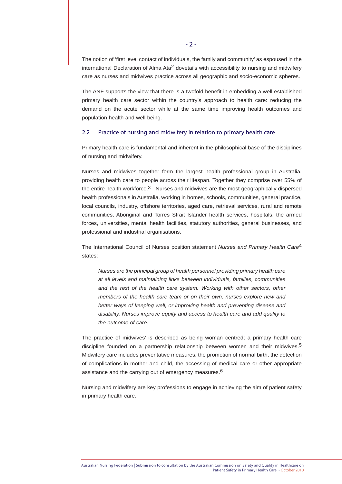The notion of 'first level contact of individuals, the family and community' as espoused in the international Declaration of Alma Ata2 dovetails with accessibility to nursing and midwifery care as nurses and midwives practice across all geographic and socio-economic spheres.

The ANF supports the view that there is a twofold benefit in embedding a well established primary health care sector within the country's approach to health care: reducing the demand on the acute sector while at the same time improving health outcomes and population health and well being.

# 2.2 Practice of nursing and midwifery in relation to primary health care

Primary health care is fundamental and inherent in the philosophical base of the disciplines of nursing and midwifery.

Nurses and midwives together form the largest health professional group in Australia, providing health care to people across their lifespan. Together they comprise over 55% of the entire health workforce.<sup>3</sup> Nurses and midwives are the most geographically dispersed health professionals in Australia, working in homes, schools, communities, general practice, local councils, industry, offshore territories, aged care, retrieval services, rural and remote communities, Aboriginal and Torres Strait Islander health services, hospitals, the armed forces, universities, mental health facilities, statutory authorities, general businesses, and professional and industrial organisations.

The International Council of Nurses position statement *Nurses and Primary Health Care*4 states:

*Nurses are the principal group of health personnel providing primary health care at all levels and maintaining links between individuals, families, communities*  and the rest of the health care system. Working with other sectors, other *members of the health care team or on their own, nurses explore new and better ways of keeping well, or improving health and preventing disease and disability. Nurses improve equity and access to health care and add quality to the outcome of care.*

The practice of midwives' is described as being woman centred; a primary health care discipline founded on a partnership relationship between women and their midwives.5 Midwifery care includes preventative measures, the promotion of normal birth, the detection of complications in mother and child, the accessing of medical care or other appropriate assistance and the carrying out of emergency measures.<sup>6</sup>

Nursing and midwifery are key professions to engage in achieving the aim of patient safety in primary health care.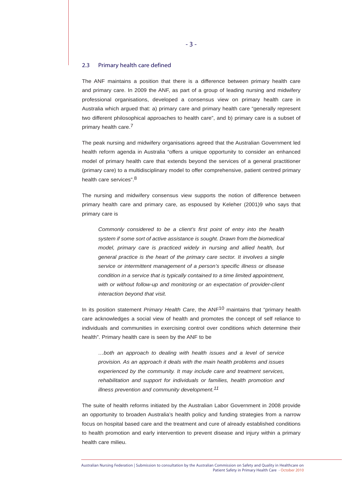# 2.3 Primary health care defined

The ANF maintains a position that there is a difference between primary health care and primary care. In 2009 the ANF, as part of a group of leading nursing and midwifery professional organisations, developed a consensus view on primary health care in Australia which argued that: a) primary care and primary health care "generally represent two different philosophical approaches to health care", and b) primary care is a subset of primary health care.<sup>7</sup>

The peak nursing and midwifery organisations agreed that the Australian Government led health reform agenda in Australia "offers a unique opportunity to consider an enhanced model of primary health care that extends beyond the services of a general practitioner (primary care) to a multidisciplinary model to offer comprehensive, patient centred primary health care services".8

The nursing and midwifery consensus view supports the notion of difference between primary health care and primary care, as espoused by Keleher (2001)9 who says that primary care is

*Commonly considered to be a client's first point of entry into the health system if some sort of active assistance is sought. Drawn from the biomedical model, primary care is practiced widely in nursing and allied health, but general practice is the heart of the primary care sector. It involves a single service or intermittent management of a person's specific illness or disease condition in a service that is typically contained to a time limited appointment, with or without follow-up and monitoring or an expectation of provider-client interaction beyond that visit.*

In its position statement *Primary Health Care*, the ANF10 maintains that "primary health care acknowledges a social view of health and promotes the concept of self reliance to individuals and communities in exercising control over conditions which determine their health". Primary health care is seen by the ANF to be

*…both an approach to dealing with health issues and a level of service provision. As an approach it deals with the main health problems and issues experienced by the community. It may include care and treatment services, rehabilitation and support for individuals or families, health promotion and illness prevention and community development.11*

The suite of health reforms initiated by the Australian Labor Government in 2008 provide an opportunity to broaden Australia's health policy and funding strategies from a narrow focus on hospital based care and the treatment and cure of already established conditions to health promotion and early intervention to prevent disease and injury within a primary health care milieu.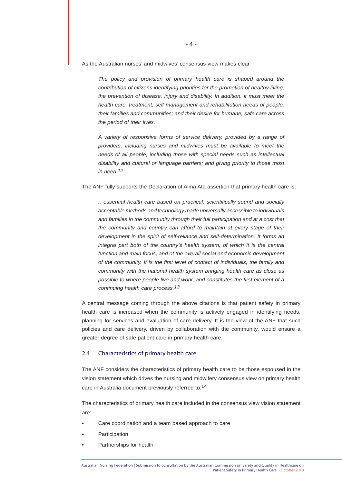As the Australian nurses' and midwives' consensus view makes clear

*The policy and provision of primary health care is shaped around the contribution of citizens identifying priorities for the promotion of healthy living, the prevention of disease, injury and disability. In addition, it must meet the health care, treatment, self management and rehabilitation needs of people, their families and communities; and their desire for humane, safe care across the period of their lives.*

*A variety of responsive forms of service delivery, provided by a range of providers, including nurses and midwives must be available to meet the needs of all people, including those with special needs such as intellectual disability and cultural or language barriers; and giving priority to those most in need.12*

The ANF fully supports the Declaration of Alma Ata assertion that primary health care is:

*.. essential health care based on practical, scientifically sound and socially acceptable methods and technology made universally accessible to individuals and families in the community through their full participation and at a cost that the community and country can afford to maintain at every stage of their development in the spirit of self-reliance and self-determination. It forms an integral part both of the country's health system, of which it is the central function and main focus, and of the overall social and economic development of the community. It is the first level of contact of individuals, the family and community with the national health system bringing health care as close as possible to where people live and work, and constitutes the first element of a continuing health care process.13*

A central message coming through the above citations is that patient safety in primary health care is increased when the community is actively engaged in identifying needs, planning for services and evaluation of care delivery. It is the view of the ANF that such policies and care delivery, driven by collaboration with the community, would ensure a greater degree of safe patient care in primary health care.

#### 2.4 Characteristics of primary health care

The ANF considers the characteristics of primary health care to be those espoused in the vision statement which drives the nursing and midwifery consensus view on primary health care in Australia document previously referred to.14

The characteristics of primary health care included in the consensus view vision statement are:

- Care coordination and a team based approach to care
- **Participation**
- Partnerships for health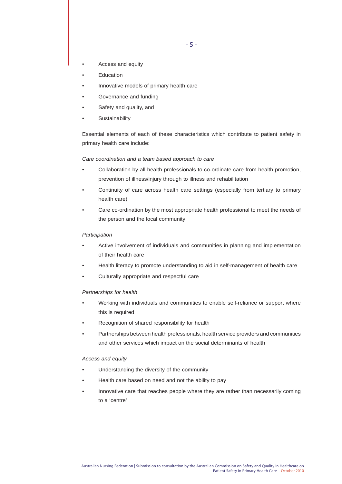- Access and equity
- Education
- Innovative models of primary health care
- Governance and funding
- Safety and quality, and
- **Sustainability**

Essential elements of each of these characteristics which contribute to patient safety in primary health care include:

#### *Care coordination and a team based approach to care*

- Collaboration by all health professionals to co-ordinate care from health promotion, prevention of illness/injury through to illness and rehabilitation
- Continuity of care across health care settings (especially from tertiary to primary health care)
- Care co-ordination by the most appropriate health professional to meet the needs of the person and the local community

#### *Participation*

- Active involvement of individuals and communities in planning and implementation of their health care
- Health literacy to promote understanding to aid in self-management of health care
- Culturally appropriate and respectful care

#### *Partnerships for health*

- Working with individuals and communities to enable self-reliance or support where this is required
- Recognition of shared responsibility for health
- Partnerships between health professionals, health service providers and communities and other services which impact on the social determinants of health

#### *Access and equity*

- Understanding the diversity of the community
- Health care based on need and not the ability to pay
- Innovative care that reaches people where they are rather than necessarily coming to a 'centre'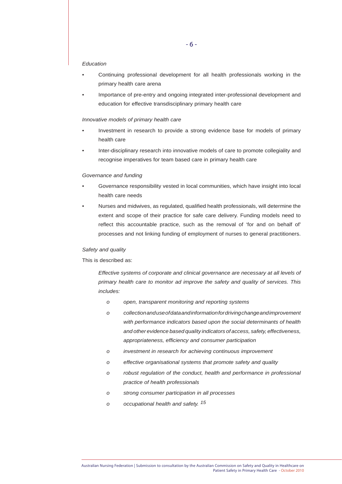## *Education*

- Continuing professional development for all health professionals working in the primary health care arena
- Importance of pre-entry and ongoing integrated inter-professional development and education for effective transdisciplinary primary health care

#### *Innovative models of primary health care*

- Investment in research to provide a strong evidence base for models of primary health care
- Inter-disciplinary research into innovative models of care to promote collegiality and recognise imperatives for team based care in primary health care

#### *Governance and funding*

- Governance responsibility vested in local communities, which have insight into local health care needs
- Nurses and midwives, as regulated, qualified health professionals, will determine the extent and scope of their practice for safe care delivery. Funding models need to reflect this accountable practice, such as the removal of 'for and on behalf of' processes and not linking funding of employment of nurses to general practitioners.

## *Safety and quality*

# This is described as:

*Effective systems of corporate and clinical governance are necessary at all levels of primary health care to monitor ad improve the safety and quality of services. This includes:*

- *o open, transparent monitoring and reporting systems*
- *o collection and use of data and information for driving change and improvement with performance indicators based upon the social determinants of health and other evidence based quality indicators of access, safety, effectiveness, appropriateness, efficiency and consumer participation*
- *o investment in research for achieving continuous improvement*
- *o effective organisational systems that promote safety and quality*
- *o robust regulation of the conduct, health and performance in professional practice of health professionals*
- *o strong consumer participation in all processes*
- *o occupational health and safety. 15*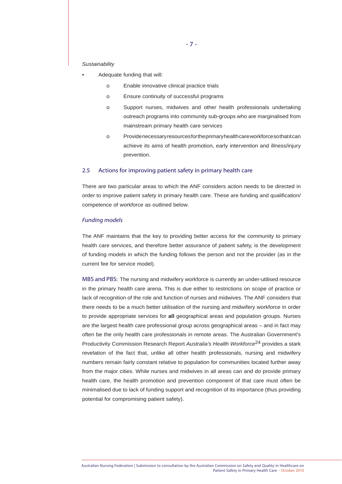#### *Sustainability*

- Adequate funding that will:
	- o Enable innovative clinical practice trials
	- o Ensure continuity of successful programs
	- o Support nurses, midwives and other health professionals undertaking outreach programs into community sub-groups who are marginalised from mainstream primary health care services
	- o Provide necessary resources for the primary health care workforce so that it can achieve its aims of health promotion, early intervention and illness/injury prevention.

# 2.5 Actions for improving patient safety in primary health care

There are two particular areas to which the ANF considers action needs to be directed in order to improve patient safety in primary health care. These are funding and qualification/ competence of workforce as outlined below.

#### *Funding models*

The ANF maintains that the key to providing better access for the community to primary health care services, and therefore better assurance of patient safety, is the development of funding models in which the funding follows the person and not the provider (as in the current fee for service model).

MBS and PBS: The nursing and midwifery workforce is currently an under-utilised resource in the primary health care arena. This is due either to restrictions on scope of practice or lack of recognition of the role and function of nurses and midwives. The ANF considers that there needs to be a much better utilisation of the nursing and midwifery workforce in order to provide appropriate services for **all** geographical areas and population groups. Nurses are the largest health care professional group across geographical areas – and in fact may often be the only health care professionals in remote areas. The Australian Government's Productivity Commission Research Report *Australia's Health Workforce*24 provides a stark revelation of the fact that, unlike all other health professionals, nursing and midwifery numbers remain fairly constant relative to population for communities located further away from the major cities. While nurses and midwives in all areas can and do provide primary health care, the health promotion and prevention component of that care must often be minimalised due to lack of funding support and recognition of its importance (thus providing potential for compromising patient safety).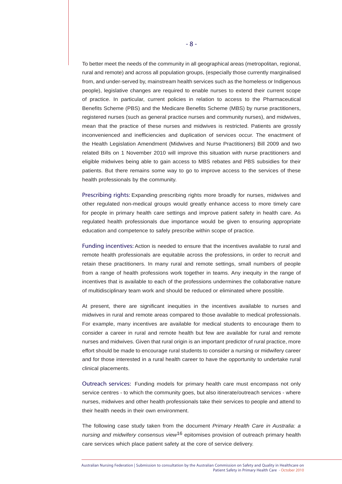To better meet the needs of the community in all geographical areas (metropolitan, regional, rural and remote) and across all population groups, (especially those currently marginalised from, and under-served by, mainstream health services such as the homeless or Indigenous people), legislative changes are required to enable nurses to extend their current scope of practice. In particular, current policies in relation to access to the Pharmaceutical Benefits Scheme (PBS) and the Medicare Benefits Scheme (MBS) by nurse practitioners, registered nurses (such as general practice nurses and community nurses), and midwives, mean that the practice of these nurses and midwives is restricted. Patients are grossly inconvenienced and inefficiencies and duplication of services occur. The enactment of the Health Legislation Amendment (Midwives and Nurse Practitioners) Bill 2009 and two related Bills on 1 November 2010 will improve this situation with nurse practitioners and eligible midwives being able to gain access to MBS rebates and PBS subsidies for their patients. But there remains some way to go to improve access to the services of these health professionals by the community.

Prescribing rights: Expanding prescribing rights more broadly for nurses, midwives and other regulated non-medical groups would greatly enhance access to more timely care for people in primary health care settings and improve patient safety in health care. As regulated health professionals due importance would be given to ensuring appropriate education and competence to safely prescribe within scope of practice.

Funding incentives: Action is needed to ensure that the incentives available to rural and remote health professionals are equitable across the professions, in order to recruit and retain these practitioners. In many rural and remote settings, small numbers of people from a range of health professions work together in teams. Any inequity in the range of incentives that is available to each of the professions undermines the collaborative nature of multidisciplinary team work and should be reduced or eliminated where possible.

At present, there are significant inequities in the incentives available to nurses and midwives in rural and remote areas compared to those available to medical professionals. For example, many incentives are available for medical students to encourage them to consider a career in rural and remote health but few are available for rural and remote nurses and midwives. Given that rural origin is an important predictor of rural practice, more effort should be made to encourage rural students to consider a nursing or midwifery career and for those interested in a rural health career to have the opportunity to undertake rural clinical placements.

Outreach services: Funding models for primary health care must encompass not only service centres - to which the community goes, but also itinerate/outreach services - where nurses, midwives and other health professionals take their services to people and attend to their health needs in their own environment.

The following case study taken from the document *Primary Health Care in Australia: a nursing and midwifery consensus view*16 epitomises provision of outreach primary health care services which place patient safety at the core of service delivery.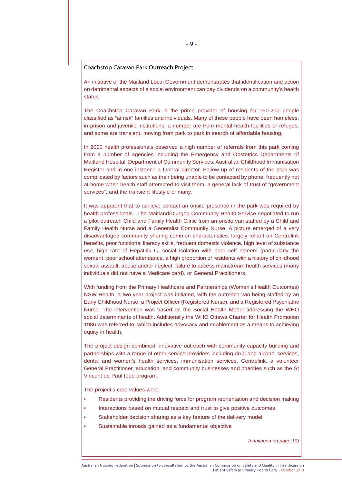# Coachstop Caravan Park Outreach Project

An initiative of the Maitland Local Government demonstrates that identification and action on detrimental aspects of a social environment can pay dividends on a community's health status.

The Coachstop Caravan Park is the prime provider of housing for 150-200 people classified as "at risk" families and individuals. Many of these people have been homeless, in prison and juvenile institutions, a number are from mental health facilities or refuges, and some are transient, moving from park to park in search of affordable housing.

In 2000 health professionals observed a high number of referrals from this park coming from a number of agencies including the Emergency and Obstetrics Departments of Maitland Hospital, Department of Community Services, Australian Childhood Immunisation Register and in one instance a funeral director. Follow up of residents of the park was complicated by factors such as their being unable to be contacted by phone, frequently not at home when health staff attempted to visit them, a general lack of trust of "government services", and the transient lifestyle of many.

It was apparent that to achieve contact an onsite presence in the park was required by health professionals. The Maitland/Dungog Community Health Service negotiated to run a pilot outreach Child and Family Health Clinic from an onsite van staffed by a Child and Family Health Nurse and a Generalist Community Nurse. A picture emerged of a very disadvantaged community sharing common characteristics: largely reliant on Centrelink benefits, poor functional literacy skills, frequent domestic violence, high level of substance use, high rate of Hepatitis C, social isolation with poor self esteem (particularly the women), poor school attendance, a high proportion of residents with a history of childhood sexual assault, abuse and/or neglect, failure to access mainstream health services (many individuals did not have a Medicare card), or General Practitioners.

With funding from the Primary Healthcare and Partnerships (Women's Health Outcomes) NSW Health, a two year project was initiated, with the outreach van being staffed by an Early Childhood Nurse, a Project Officer (Registered Nurse), and a Registered Psychiatric Nurse. The intervention was based on the Social Health Model addressing the WHO social determinants of health. Additionally the WHO Ottawa Charter for Health Promotion 1986 was referred to, which includes advocacy and enablement as a means to achieving equity in health.

The project design combined innovative outreach with community capacity building and partnerships with a range of other service providers including drug and alcohol services, dental and women's health services, immunisation services, Centrelink, a volunteer General Practitioner, education, and community businesses and charities such as the St Vincent de Paul food program.

The project's core values were:

- Residents providing the driving force for program reorientation and decision making
- Interactions based on mutual respect and trust to give positive outcomes
- Stakeholder decision sharing as a key feature of the delivery model
- Sustainable inroads gained as a fundamental objective

*(continued on page 10)*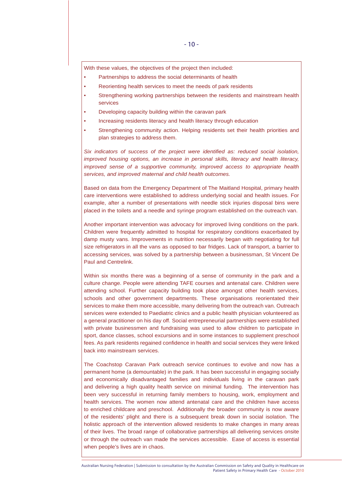With these values, the objectives of the project then included:

- Partnerships to address the social determinants of health
- Reorienting health services to meet the needs of park residents
- Strengthening working partnerships between the residents and mainstream health services
- Developing capacity building within the caravan park
- Increasing residents literacy and health literacy through education
- Strengthening community action. Helping residents set their health priorities and plan strategies to address them.

*Six indicators of success of the project were identified as: reduced social isolation, improved housing options, an increase in personal skills, literacy and health literacy, improved sense of a supportive community, improved access to appropriate health services, and improved maternal and child health outcomes.*

Based on data from the Emergency Department of The Maitland Hospital, primary health care interventions were established to address underlying social and health issues. For example, after a number of presentations with needle stick injuries disposal bins were placed in the toilets and a needle and syringe program established on the outreach van.

Another important intervention was advocacy for improved living conditions on the park. Children were frequently admitted to hospital for respiratory conditions exacerbated by damp musty vans. Improvements in nutrition necessarily began with negotiating for full size refrigerators in all the vans as opposed to bar fridges. Lack of transport, a barrier to accessing services, was solved by a partnership between a businessman, St Vincent De Paul and Centrelink.

Within six months there was a beginning of a sense of community in the park and a culture change. People were attending TAFE courses and antenatal care. Children were attending school. Further capacity building took place amongst other health services, schools and other government departments. These organisations reorientated their services to make them more accessible, many delivering from the outreach van. Outreach services were extended to Paediatric clinics and a public health physician volunteered as a general practitioner on his day off. Social entrepreneurial partnerships were established with private businessmen and fundraising was used to allow children to participate in sport, dance classes, school excursions and in some instances to supplement preschool fees. As park residents regained confidence in health and social services they were linked back into mainstream services.

The Coachstop Caravan Park outreach service continues to evolve and now has a permanent home (a demountable) in the park. It has been successful in engaging socially and economically disadvantaged families and individuals living in the caravan park and delivering a high quality health service on minimal funding. The intervention has been very successful in returning family members to housing, work, employment and health services. The women now attend antenatal care and the children have access to enriched childcare and preschool. Additionally the broader community is now aware of the residents' plight and there is a subsequent break down in social isolation. The holistic approach of the intervention allowed residents to make changes in many areas of their lives. The broad range of collaborative partnerships all delivering services onsite or through the outreach van made the services accessible. Ease of access is essential when people's lives are in chaos.

Australian Nursing Federation | Submission to consultation by the Australian Commission on Safety and Quality in Healthcare on Patient Safety in Primary Health Care - October 2010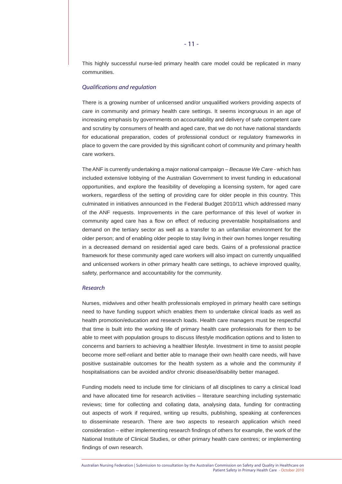This highly successful nurse-led primary health care model could be replicated in many communities.

# *Qualifications and regulation*

There is a growing number of unlicensed and/or unqualified workers providing aspects of care in community and primary health care settings. It seems incongruous in an age of increasing emphasis by governments on accountability and delivery of safe competent care and scrutiny by consumers of health and aged care, that we do not have national standards for educational preparation, codes of professional conduct or regulatory frameworks in place to govern the care provided by this significant cohort of community and primary health care workers.

The ANF is currently undertaking a major national campaign – *Because We Care* - which has included extensive lobbying of the Australian Government to invest funding in educational opportunities, and explore the feasibility of developing a licensing system, for aged care workers, regardless of the setting of providing care for older people in this country. This culminated in initiatives announced in the Federal Budget 2010/11 which addressed many of the ANF requests. Improvements in the care performance of this level of worker in community aged care has a flow on effect of reducing preventable hospitalisations and demand on the tertiary sector as well as a transfer to an unfamiliar environment for the older person; and of enabling older people to stay living in their own homes longer resulting in a decreased demand on residential aged care beds. Gains of a professional practice framework for these community aged care workers will also impact on currently unqualified and unlicensed workers in other primary health care settings, to achieve improved quality, safety, performance and accountability for the community.

# *Research*

Nurses, midwives and other health professionals employed in primary health care settings need to have funding support which enables them to undertake clinical loads as well as health promotion/education and research loads. Health care managers must be respectful that time is built into the working life of primary health care professionals for them to be able to meet with population groups to discuss lifestyle modification options and to listen to concerns and barriers to achieving a healthier lifestyle. Investment in time to assist people become more self-reliant and better able to manage their own health care needs, will have positive sustainable outcomes for the health system as a whole and the community if hospitalisations can be avoided and/or chronic disease/disability better managed.

Funding models need to include time for clinicians of all disciplines to carry a clinical load and have allocated time for research activities – literature searching including systematic reviews; time for collecting and collating data, analysing data, funding for contracting out aspects of work if required, writing up results, publishing, speaking at conferences to disseminate research. There are two aspects to research application which need consideration – either implementing research findings of others for example, the work of the National Institute of Clinical Studies, or other primary health care centres; or implementing findings of own research.

Australian Nursing Federation | Submission to consultation by the Australian Commission on Safety and Quality in Healthcare on Patient Safety in Primary Health Care - October 2010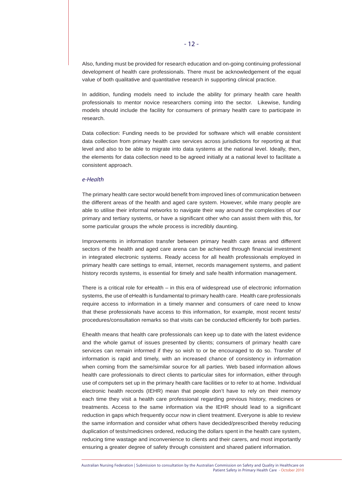Also, funding must be provided for research education and on-going continuing professional development of health care professionals. There must be acknowledgement of the equal value of both qualitative and quantitative research in supporting clinical practice.

In addition, funding models need to include the ability for primary health care health professionals to mentor novice researchers coming into the sector. Likewise, funding models should include the facility for consumers of primary health care to participate in research.

Data collection: Funding needs to be provided for software which will enable consistent data collection from primary health care services across jurisdictions for reporting at that level and also to be able to migrate into data systems at the national level. Ideally, then, the elements for data collection need to be agreed initially at a national level to facilitate a consistent approach.

# *e-Health*

The primary health care sector would benefit from improved lines of communication between the different areas of the health and aged care system. However, while many people are able to utilise their informal networks to navigate their way around the complexities of our primary and tertiary systems, or have a significant other who can assist them with this, for some particular groups the whole process is incredibly daunting.

Improvements in information transfer between primary health care areas and different sectors of the health and aged care arena can be achieved through financial investment in integrated electronic systems. Ready access for all health professionals employed in primary health care settings to email, internet, records management systems, and patient history records systems, is essential for timely and safe health information management.

There is a critical role for eHealth – in this era of widespread use of electronic information systems, the use of eHealth is fundamental to primary health care. Health care professionals require access to information in a timely manner and consumers of care need to know that these professionals have access to this information, for example, most recent tests/ procedures/consultation remarks so that visits can be conducted efficiently for both parties.

Ehealth means that health care professionals can keep up to date with the latest evidence and the whole gamut of issues presented by clients; consumers of primary health care services can remain informed if they so wish to or be encouraged to do so. Transfer of information is rapid and timely, with an increased chance of consistency in information when coming from the same/similar source for all parties. Web based information allows health care professionals to direct clients to particular sites for information, either through use of computers set up in the primary health care facilities or to refer to at home. Individual electronic health records (IEHR) mean that people don't have to rely on their memory each time they visit a health care professional regarding previous history, medicines or treatments. Access to the same information via the IEHR should lead to a significant reduction in gaps which frequently occur now in client treatment. Everyone is able to review the same information and consider what others have decided/prescribed thereby reducing duplication of tests/medicines ordered, reducing the dollars spent in the health care system, reducing time wastage and inconvenience to clients and their carers, and most importantly ensuring a greater degree of safety through consistent and shared patient information.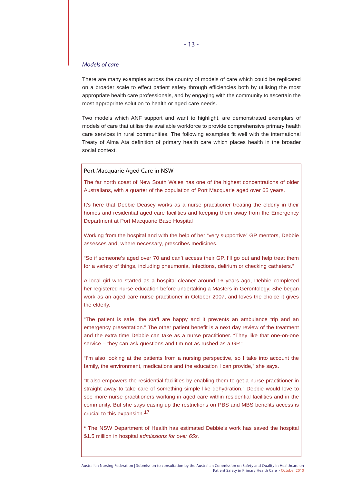# *Models of care*

There are many examples across the country of models of care which could be replicated on a broader scale to effect patient safety through efficiencies both by utilising the most appropriate health care professionals, and by engaging with the community to ascertain the most appropriate solution to health or aged care needs.

Two models which ANF support and want to highlight, are demonstrated exemplars of models of care that utilise the available workforce to provide comprehensive primary health care services in rural communities. The following examples fit well with the international Treaty of Alma Ata definition of primary health care which places health in the broader social context.

# Port Macquarie Aged Care in NSW

The far north coast of New South Wales has one of the highest concentrations of older Australians, with a quarter of the population of Port Macquarie aged over 65 years.

It's here that Debbie Deasey works as a nurse practitioner treating the elderly in their homes and residential aged care facilities and keeping them away from the Emergency Department at Port Macquarie Base Hospital

Working from the hospital and with the help of her "very supportive" GP mentors, Debbie assesses and, where necessary, prescribes medicines.

"So if someone's aged over 70 and can't access their GP, I'll go out and help treat them for a variety of things, including pneumonia, infections, delirium or checking catheters."

A local girl who started as a hospital cleaner around 16 years ago, Debbie completed her registered nurse education before undertaking a Masters in Gerontology. She began work as an aged care nurse practitioner in October 2007, and loves the choice it gives the elderly.

"The patient is safe, the staff are happy and it prevents an ambulance trip and an emergency presentation." The other patient benefit is a next day review of the treatment and the extra time Debbie can take as a nurse practitioner. "They like that one-on-one service – they can ask questions and I'm not as rushed as a GP."

"I'm also looking at the patients from a nursing perspective, so I take into account the family, the environment, medications and the education I can provide," she says.

"It also empowers the residential facilities by enabling them to get a nurse practitioner in straight away to take care of something simple like dehydration." Debbie would love to see more nurse practitioners working in aged care within residential facilities and in the community. But she says easing up the restrictions on PBS and MBS benefits access is crucial to this expansion.17

**\*** The NSW Department of Health has estimated Debbie's work has saved the hospital \$1.5 million in hospital *admissions for over 65s.*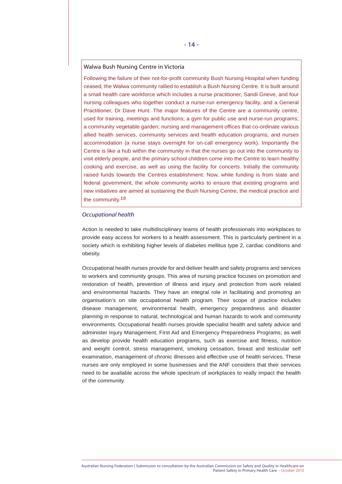# Walwa Bush Nursing Centre in Victoria

Following the failure of their not-for-profit community Bush Nursing Hospital when funding ceased, the Walwa community rallied to establish a Bush Nursing Centre. It is built around a small health care workforce which includes a nurse practitioner, Sandi Grieve, and four nursing colleagues who together conduct a nurse-run emergency facility, and a General Practitioner, Dr Dave Hunt. The major features of the Centre are a community centre, used for training, meetings and functions; a gym for public use and nurse-run programs; a community vegetable garden; nursing and management offices that co-ordinate various allied health services, community services and health education programs; and nurses accommodation (a nurse stays overnight for on-call emergency work). Importantly the Centre is like a hub within the community in that the nurses go out into the community to visit elderly people, and the primary school children come into the Centre to learn healthy cooking and exercise, as well as using the facility for concerts. Initially the community raised funds towards the Centres establishment. Now, while funding is from state and federal government, the whole community works to ensure that existing programs and new initiatives are aimed at sustaining the Bush Nursing Centre, the medical practice and the community.18

#### *Occupational health*

Action is needed to take multidisciplinary teams of health professionals into workplaces to provide easy access for workers to a health assessment. This is particularly pertinent in a society which is exhibiting higher levels of diabetes mellitus type 2, cardiac conditions and obesity.

Occupational health nurses provide for and deliver health and safety programs and services to workers and community groups. This area of nursing practice focuses on promotion and restoration of health, prevention of illness and injury and protection from work related and environmental hazards. They have an integral role in facilitating and promoting an organisation's on site occupational health program. Their scope of practice includes disease management, environmental health, emergency preparedness and disaster planning in response to natural, technological and human hazards to work and community environments. Occupational health nurses provide specialist health and safety advice and administer Injury Management, First Aid and Emergency Preparedness Programs; as well as develop provide health education programs, such as exercise and fitness, nutrition and weight control, stress management, smoking cessation, breast and testicular self examination, management of chronic illnesses and effective use of health services. These nurses are only employed in some businesses and the ANF considers that their services need to be available across the whole spectrum of workplaces to really impact the health of the community.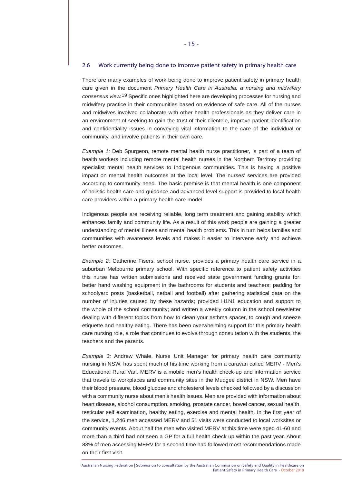#### 2.6 Work currently being done to improve patient safety in primary health care

There are many examples of work being done to improve patient safety in primary health care given in the document *Primary Health Care in Australia: a nursing and midwifery consensus view.*19 Specific ones highlighted here are developing processes for nursing and midwifery practice in their communities based on evidence of safe care. All of the nurses and midwives involved collaborate with other health professionals as they deliver care in an environment of seeking to gain the trust of their clientele, improve patient identification and confidentiality issues in conveying vital information to the care of the individual or community, and involve patients in their own care.

*Example 1:* Deb Spurgeon, remote mental health nurse practitioner, is part of a team of health workers including remote mental health nurses in the Northern Territory providing specialist mental health services to Indigenous communities. This is having a positive impact on mental health outcomes at the local level. The nurses' services are provided according to community need. The basic premise is that mental health is one component of holistic health care and guidance and advanced level support is provided to local health care providers within a primary health care model.

Indigenous people are receiving reliable, long term treatment and gaining stability which enhances family and community life. As a result of this work people are gaining a greater understanding of mental illness and mental health problems. This in turn helps families and communities with awareness levels and makes it easier to intervene early and achieve better outcomes.

*Example 2:* Catherine Fisers, school nurse, provides a primary health care service in a suburban Melbourne primary school. With specific reference to patient safety activities this nurse has written submissions and received state government funding grants for: better hand washing equipment in the bathrooms for students and teachers; padding for schoolyard posts (basketball, netball and football) after gathering statistical data on the number of injuries caused by these hazards; provided H1N1 education and support to the whole of the school community; and written a weekly column in the school newsletter dealing with different topics from how to clean your asthma spacer, to cough and sneeze etiquette and healthy eating. There has been overwhelming support for this primary health care nursing role, a role that continues to evolve through consultation with the students, the teachers and the parents.

*Example 3:* Andrew Whale, Nurse Unit Manager for primary health care community nursing in NSW, has spent much of his time working from a caravan called MERV - Men's Educational Rural Van. MERV is a mobile men's health check-up and information service that travels to workplaces and community sites in the Mudgee district in NSW. Men have their blood pressure, blood glucose and cholesterol levels checked followed by a discussion with a community nurse about men's health issues. Men are provided with information about heart disease, alcohol consumption, smoking, prostate cancer, bowel cancer, sexual health, testicular self examination, healthy eating, exercise and mental health. In the first year of the service, 1,246 men accessed MERV and 51 visits were conducted to local worksites or community events. About half the men who visited MERV at this time were aged 41-60 and more than a third had not seen a GP for a full health check up within the past year. About 83% of men accessing MERV for a second time had followed most recommendations made on their first visit.

Australian Nursing Federation | Submission to consultation by the Australian Commission on Safety and Quality in Healthcare on Patient Safety in Primary Health Care - October 2010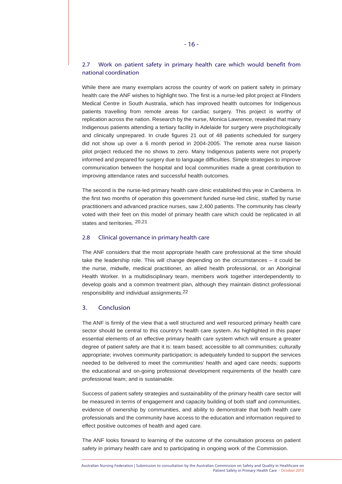# 2.7 Work on patient safety in primary health care which would benefit from national coordination

While there are many exemplars across the country of work on patient safety in primary health care the ANF wishes to highlight two. The first is a nurse-led pilot project at Flinders Medical Centre in South Australia, which has improved health outcomes for Indigenous patients travelling from remote areas for cardiac surgery. This project is worthy of replication across the nation. Research by the nurse, Monica Lawrence, revealed that many Indigenous patients attending a tertiary facility in Adelaide for surgery were psychologically and clinically unprepared. In crude figures 21 out of 48 patients scheduled for surgery did not show up over a 6 month period in 2004-2005. The remote area nurse liaison pilot project reduced the no shows to zero. Many Indigenous patients were not properly informed and prepared for surgery due to language difficulties. Simple strategies to improve communication between the hospital and local communities made a great contribution to improving attendance rates and successful health outcomes.

The second is the nurse-led primary health care clinic established this year in Canberra. In the first two months of operation this government funded nurse-led clinic, staffed by nurse practitioners and advanced practice nurses, saw 2,400 patients. The community has clearly voted with their feet on this model of primary health care which could be replicated in all states and territories. 20,21

# 2.8 Clinical governance in primary health care

The ANF considers that the most appropriate health care professional at the time should take the leadership role. This will change depending on the circumstances – it could be the nurse, midwife, medical practitioner, an allied health professional, or an Aboriginal Health Worker. In a multidisciplinary team, members work together interdependently to develop goals and a common treatment plan, although they maintain distinct professional responsibility and individual assignments.22

## 3. Conclusion

The ANF is firmly of the view that a well structured and well resourced primary health care sector should be central to this country's health care system. As highlighted in this paper essential elements of an effective primary health care system which will ensure a greater degree of patient safety are that it is: team based; accessible to all communities; culturally appropriate; involves community participation; is adequately funded to support the services needed to be delivered to meet the communities' health and aged care needs; supports the educational and on-going professional development requirements of the health care professional team; and is sustainable.

Success of patient safety strategies and sustainability of the primary health care sector will be measured in terms of engagement and capacity building of both staff and communities, evidence of ownership by communities, and ability to demonstrate that both health care professionals and the community have access to the education and information required to effect positive outcomes of health and aged care.

The ANF looks forward to learning of the outcome of the consultation process on patient safety in primary health care and to participating in ongoing work of the Commission.

Australian Nursing Federation | Submission to consultation by the Australian Commission on Safety and Quality in Healthcare on Patient Safety in Primary Health Care - October 2010